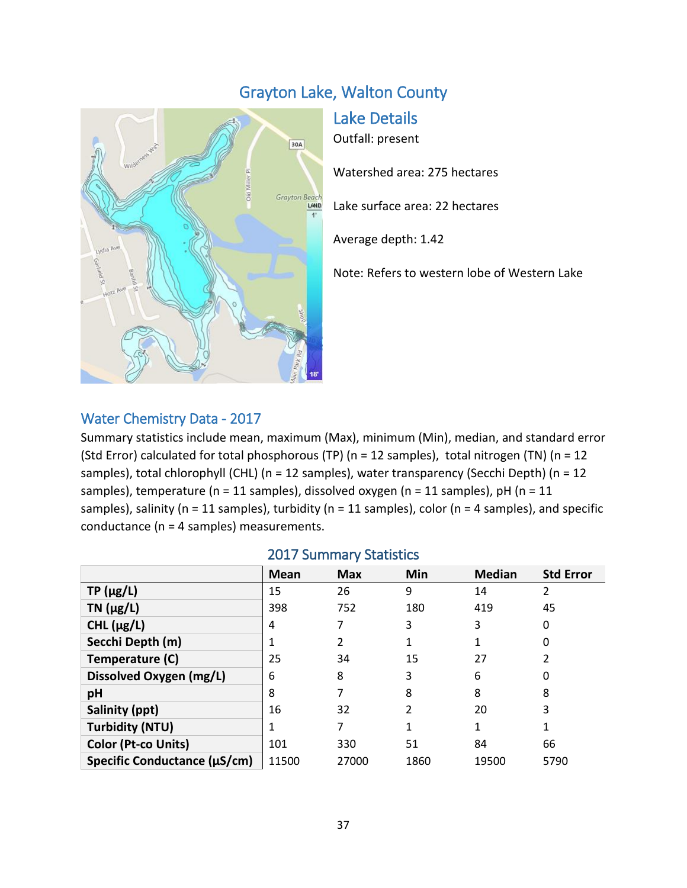# Grayton Lake, Walton County



Lake Details

Outfall: present

Watershed area: 275 hectares

Lake surface area: 22 hectares

Average depth: 1.42

Note: Refers to western lobe of Western Lake

## Water Chemistry Data - 2017

Summary statistics include mean, maximum (Max), minimum (Min), median, and standard error (Std Error) calculated for total phosphorous (TP) (n = 12 samples), total nitrogen (TN) (n = 12 samples), total chlorophyll (CHL) (n = 12 samples), water transparency (Secchi Depth) (n = 12 samples), temperature (n = 11 samples), dissolved oxygen (n = 11 samples), pH (n = 11 samples), salinity (n = 11 samples), turbidity (n = 11 samples), color (n = 4 samples), and specific conductance (n = 4 samples) measurements.

|  | <b>2017 Summary Statistics</b> |  |
|--|--------------------------------|--|
|--|--------------------------------|--|

|                              | Mean  | <b>Max</b> | <b>Min</b> | <b>Median</b> | <b>Std Error</b> |
|------------------------------|-------|------------|------------|---------------|------------------|
| $TP(\mu g/L)$                | 15    | 26         | 9          | 14            | 2                |
| TN $(\mu g/L)$               | 398   | 752        | 180        | 419           | 45               |
| CHL $(\mu g/L)$              | 4     |            | 3          | 3             | 0                |
| Secchi Depth (m)             | 1     |            |            |               | 0                |
| Temperature (C)              | 25    | 34         | 15         | 27            | 2                |
| Dissolved Oxygen (mg/L)      | 6     | 8          | 3          | 6             | 0                |
| рH                           | 8     |            | 8          | 8             | 8                |
| Salinity (ppt)               | 16    | 32         | 2          | 20            | 3                |
| <b>Turbidity (NTU)</b>       | 1     |            |            | 1             | 1                |
| <b>Color (Pt-co Units)</b>   | 101   | 330        | 51         | 84            | 66               |
| Specific Conductance (µS/cm) | 11500 | 27000      | 1860       | 19500         | 5790             |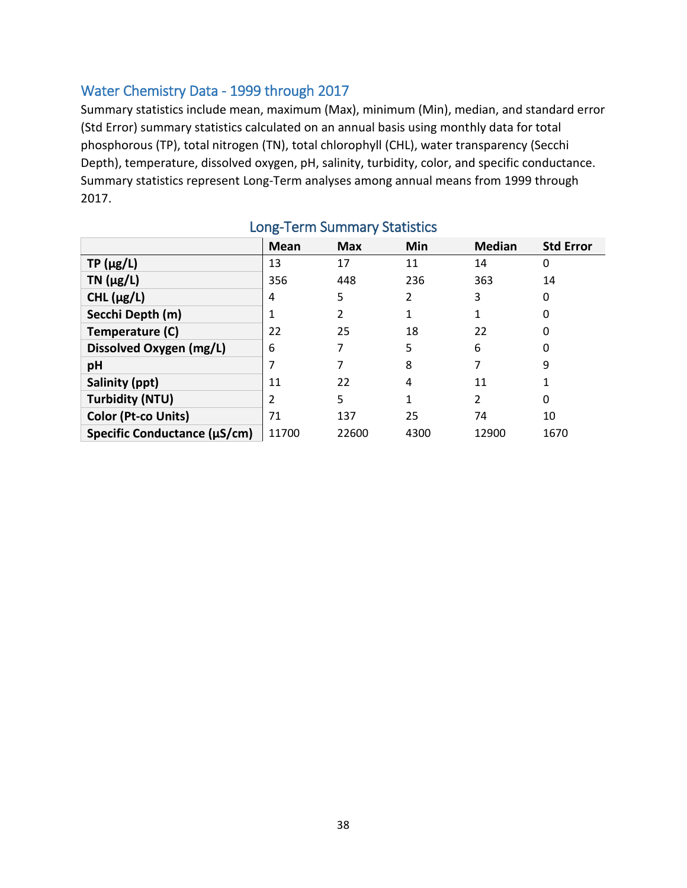### Water Chemistry Data - 1999 through 2017

Summary statistics include mean, maximum (Max), minimum (Min), median, and standard error (Std Error) summary statistics calculated on an annual basis using monthly data for total phosphorous (TP), total nitrogen (TN), total chlorophyll (CHL), water transparency (Secchi Depth), temperature, dissolved oxygen, pH, salinity, turbidity, color, and specific conductance. Summary statistics represent Long-Term analyses among annual means from 1999 through 2017.

|                              | Mean  | <b>Max</b> | Min  | <b>Median</b>  | <b>Std Error</b> |
|------------------------------|-------|------------|------|----------------|------------------|
| $TP(\mu g/L)$                | 13    | 17         | 11   | 14             | 0                |
| TN $(\mu g/L)$               | 356   | 448        | 236  | 363            | 14               |
| CHL $(\mu g/L)$              | 4     | 5          | 2    | 3              | 0                |
| Secchi Depth (m)             |       | 2          |      | 1              | 0                |
| Temperature (C)              | 22    | 25         | 18   | 22             | 0                |
| Dissolved Oxygen (mg/L)      | 6     |            | 5    | 6              | 0                |
| pH                           | 7     |            | 8    | 7              | 9                |
| Salinity (ppt)               | 11    | 22         | 4    | 11             |                  |
| <b>Turbidity (NTU)</b>       | 2     | 5          | 1    | $\overline{2}$ | 0                |
| Color (Pt-co Units)          | 71    | 137        | 25   | 74             | 10               |
| Specific Conductance (µS/cm) | 11700 | 22600      | 4300 | 12900          | 1670             |

## Long-Term Summary Statistics